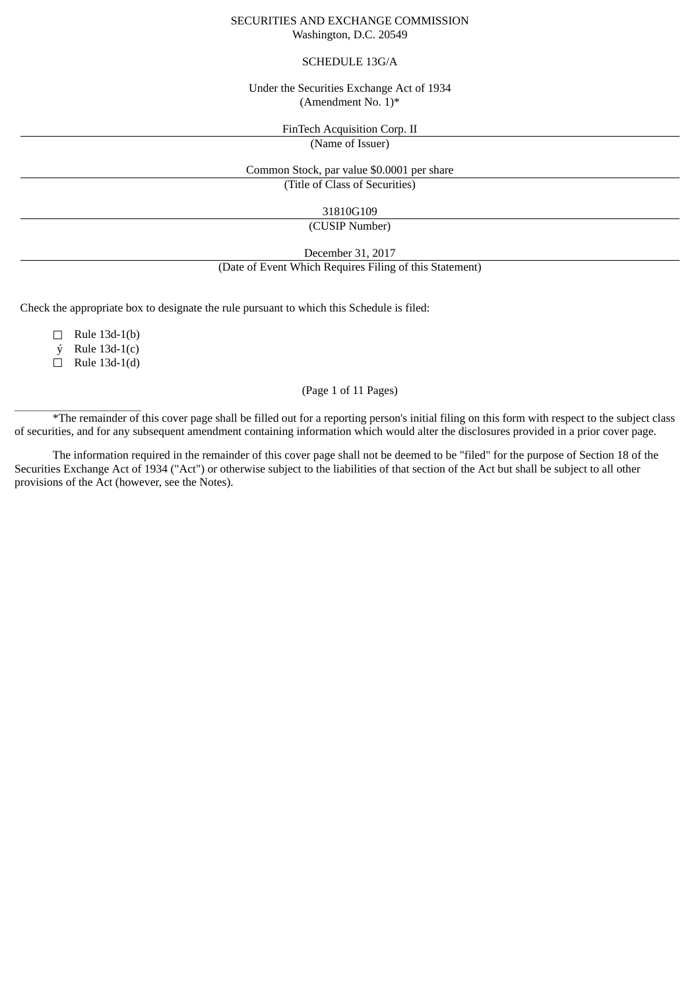#### SECURITIES AND EXCHANGE COMMISSION Washington, D.C. 20549

#### SCHEDULE 13G/A

#### Under the Securities Exchange Act of 1934 (Amendment No. 1)\*

FinTech Acquisition Corp. II

(Name of Issuer)

Common Stock, par value \$0.0001 per share

(Title of Class of Securities)

31810G109

(CUSIP Number)

December 31, 2017

(Date of Event Which Requires Filing of this Statement)

Check the appropriate box to designate the rule pursuant to which this Schedule is filed:

☐ Rule 13d-1(b)

 $\acute{y}$  Rule 13d-1(c)

☐ Rule 13d-1(d)

 $\overline{\phantom{a}}$  ,  $\overline{\phantom{a}}$  ,  $\overline{\phantom{a}}$  ,  $\overline{\phantom{a}}$  ,  $\overline{\phantom{a}}$  ,  $\overline{\phantom{a}}$  ,  $\overline{\phantom{a}}$  ,  $\overline{\phantom{a}}$  ,  $\overline{\phantom{a}}$  ,  $\overline{\phantom{a}}$  ,  $\overline{\phantom{a}}$  ,  $\overline{\phantom{a}}$  ,  $\overline{\phantom{a}}$  ,  $\overline{\phantom{a}}$  ,  $\overline{\phantom{a}}$  ,  $\overline{\phantom{a}}$ 

### (Page 1 of 11 Pages)

\*The remainder of this cover page shall be filled out for a reporting person's initial filing on this form with respect to the subject class of securities, and for any subsequent amendment containing information which would alter the disclosures provided in a prior cover page.

The information required in the remainder of this cover page shall not be deemed to be "filed" for the purpose of Section 18 of the Securities Exchange Act of 1934 ("Act") or otherwise subject to the liabilities of that section of the Act but shall be subject to all other provisions of the Act (however, see the Notes).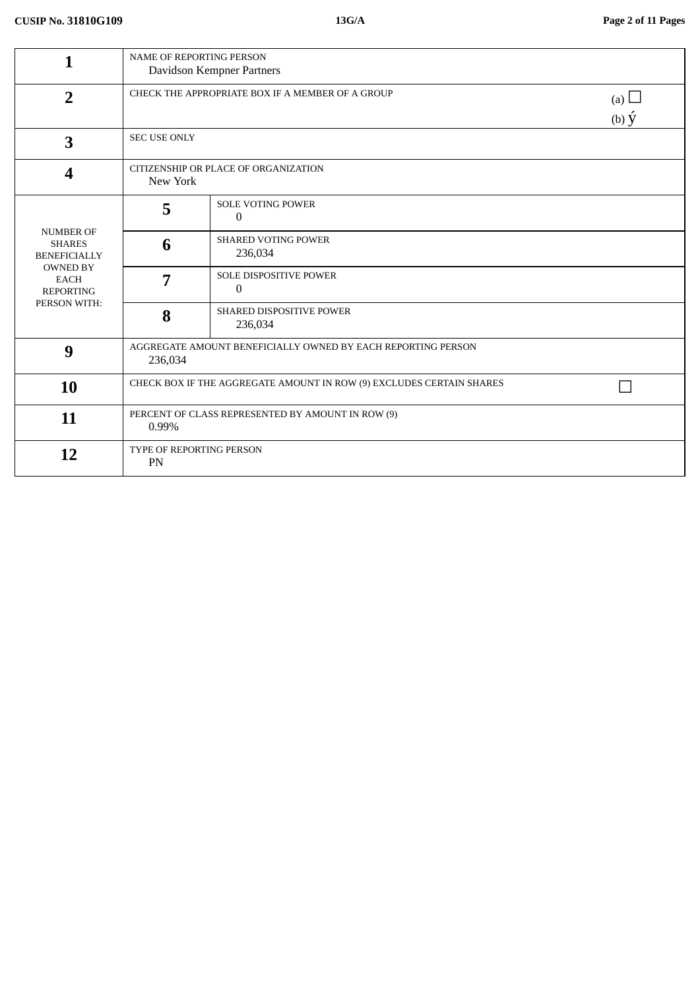| 1                                                                  | NAME OF REPORTING PERSON<br>Davidson Kempner Partners                   |                                                                                   |  |  |
|--------------------------------------------------------------------|-------------------------------------------------------------------------|-----------------------------------------------------------------------------------|--|--|
| $\overline{2}$                                                     |                                                                         | CHECK THE APPROPRIATE BOX IF A MEMBER OF A GROUP<br>(a) $\Box$<br>(b) $\acute{y}$ |  |  |
| 3                                                                  | <b>SEC USE ONLY</b>                                                     |                                                                                   |  |  |
| 4                                                                  | CITIZENSHIP OR PLACE OF ORGANIZATION<br>New York                        |                                                                                   |  |  |
|                                                                    | 5                                                                       | <b>SOLE VOTING POWER</b><br>$\mathbf{0}$                                          |  |  |
| <b>NUMBER OF</b><br><b>SHARES</b><br><b>BENEFICIALLY</b>           | 6                                                                       | <b>SHARED VOTING POWER</b><br>236,034                                             |  |  |
| <b>OWNED BY</b><br><b>EACH</b><br><b>REPORTING</b><br>PERSON WITH: | 7                                                                       | <b>SOLE DISPOSITIVE POWER</b><br>0                                                |  |  |
|                                                                    | 8                                                                       | SHARED DISPOSITIVE POWER<br>236,034                                               |  |  |
| 9                                                                  | AGGREGATE AMOUNT BENEFICIALLY OWNED BY EACH REPORTING PERSON<br>236,034 |                                                                                   |  |  |
| 10                                                                 | CHECK BOX IF THE AGGREGATE AMOUNT IN ROW (9) EXCLUDES CERTAIN SHARES    |                                                                                   |  |  |
| 11                                                                 | PERCENT OF CLASS REPRESENTED BY AMOUNT IN ROW (9)<br>0.99%              |                                                                                   |  |  |
| 12                                                                 | TYPE OF REPORTING PERSON<br>PN                                          |                                                                                   |  |  |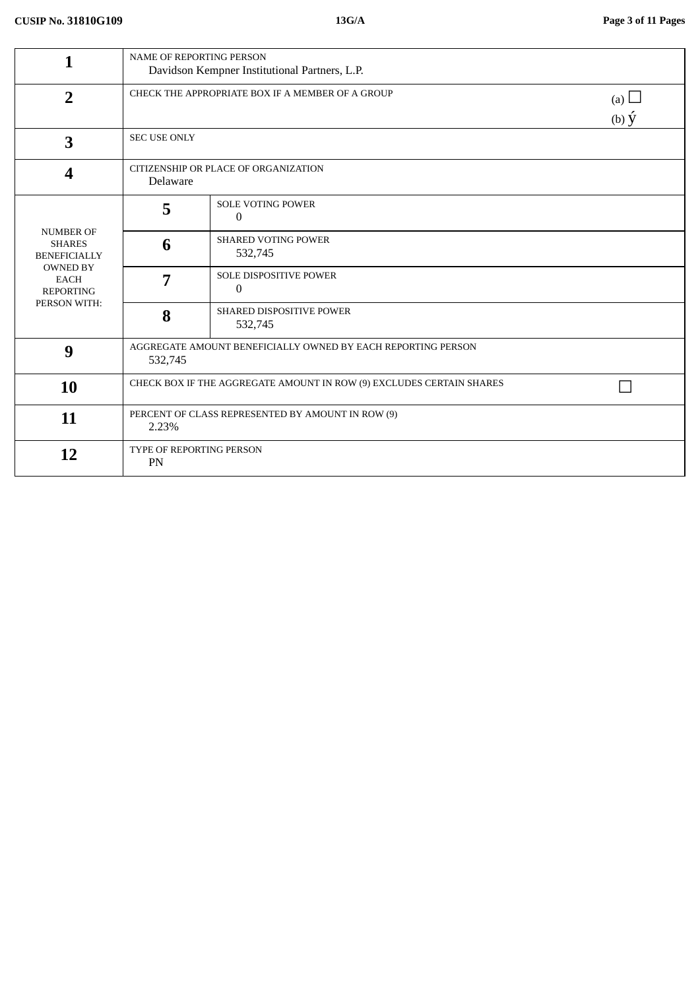| 1                                                                                                                              | <b>NAME OF REPORTING PERSON</b><br>Davidson Kempner Institutional Partners, L.P.    |                                          |  |  |
|--------------------------------------------------------------------------------------------------------------------------------|-------------------------------------------------------------------------------------|------------------------------------------|--|--|
| $\overline{2}$                                                                                                                 | CHECK THE APPROPRIATE BOX IF A MEMBER OF A GROUP<br>(a) $\Box$<br>$(b)$ $\acute{y}$ |                                          |  |  |
| 3                                                                                                                              | <b>SEC USE ONLY</b>                                                                 |                                          |  |  |
| 4                                                                                                                              | CITIZENSHIP OR PLACE OF ORGANIZATION<br>Delaware                                    |                                          |  |  |
|                                                                                                                                | 5                                                                                   | <b>SOLE VOTING POWER</b><br>$\mathbf{0}$ |  |  |
| <b>NUMBER OF</b><br><b>SHARES</b><br><b>BENEFICIALLY</b><br><b>OWNED BY</b><br><b>EACH</b><br><b>REPORTING</b><br>PERSON WITH: | 6                                                                                   | <b>SHARED VOTING POWER</b><br>532,745    |  |  |
|                                                                                                                                | 7                                                                                   | SOLE DISPOSITIVE POWER<br>$\overline{0}$ |  |  |
|                                                                                                                                | 8                                                                                   | SHARED DISPOSITIVE POWER<br>532,745      |  |  |
| 9                                                                                                                              | AGGREGATE AMOUNT BENEFICIALLY OWNED BY EACH REPORTING PERSON<br>532,745             |                                          |  |  |
| 10                                                                                                                             | CHECK BOX IF THE AGGREGATE AMOUNT IN ROW (9) EXCLUDES CERTAIN SHARES                |                                          |  |  |
| 11                                                                                                                             | PERCENT OF CLASS REPRESENTED BY AMOUNT IN ROW (9)<br>2.23%                          |                                          |  |  |
| 12                                                                                                                             | TYPE OF REPORTING PERSON<br>PN                                                      |                                          |  |  |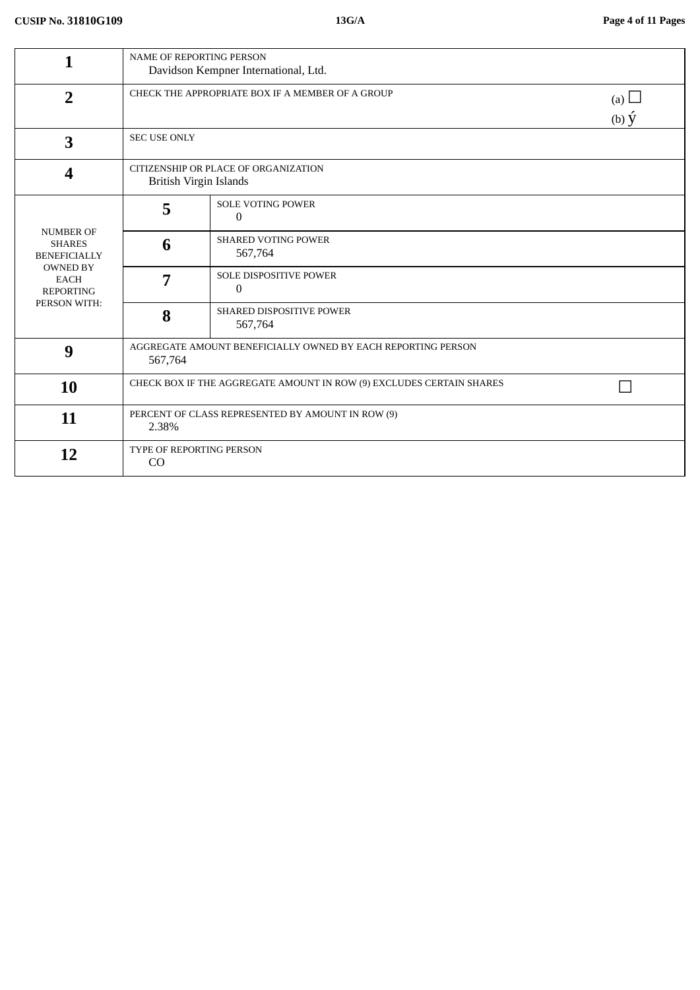| 1                                                                                                                              | <b>NAME OF REPORTING PERSON</b><br>Davidson Kempner International, Ltd.             |                                               |  |  |
|--------------------------------------------------------------------------------------------------------------------------------|-------------------------------------------------------------------------------------|-----------------------------------------------|--|--|
| $\overline{2}$                                                                                                                 | CHECK THE APPROPRIATE BOX IF A MEMBER OF A GROUP<br>(a) $\Box$<br>$(b)$ $\acute{y}$ |                                               |  |  |
| 3                                                                                                                              | <b>SEC USE ONLY</b>                                                                 |                                               |  |  |
| 4                                                                                                                              | CITIZENSHIP OR PLACE OF ORGANIZATION<br><b>British Virgin Islands</b>               |                                               |  |  |
| <b>NUMBER OF</b><br><b>SHARES</b><br><b>BENEFICIALLY</b><br><b>OWNED BY</b><br><b>EACH</b><br><b>REPORTING</b><br>PERSON WITH: | 5                                                                                   | <b>SOLE VOTING POWER</b><br>$\mathbf{0}$      |  |  |
|                                                                                                                                | 6                                                                                   | <b>SHARED VOTING POWER</b><br>567,764         |  |  |
|                                                                                                                                | 7                                                                                   | <b>SOLE DISPOSITIVE POWER</b><br>$\mathbf{0}$ |  |  |
|                                                                                                                                | 8                                                                                   | SHARED DISPOSITIVE POWER<br>567,764           |  |  |
| 9                                                                                                                              | AGGREGATE AMOUNT BENEFICIALLY OWNED BY EACH REPORTING PERSON<br>567,764             |                                               |  |  |
| 10                                                                                                                             | CHECK BOX IF THE AGGREGATE AMOUNT IN ROW (9) EXCLUDES CERTAIN SHARES                |                                               |  |  |
| 11                                                                                                                             | PERCENT OF CLASS REPRESENTED BY AMOUNT IN ROW (9)<br>2.38%                          |                                               |  |  |
| 12                                                                                                                             | TYPE OF REPORTING PERSON<br>CO                                                      |                                               |  |  |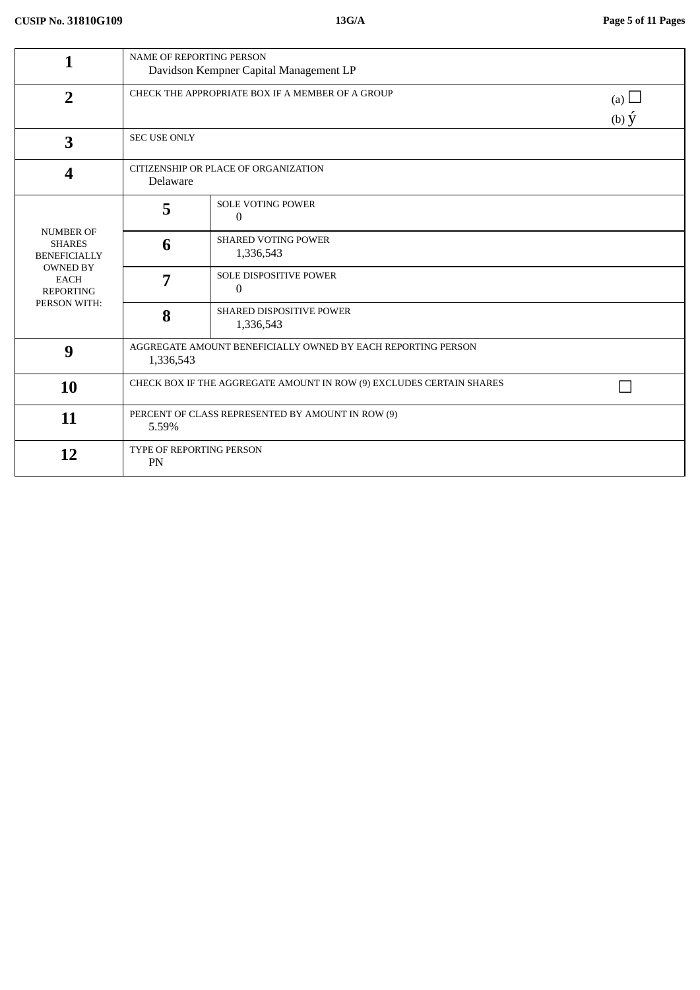| 1                                                                  | NAME OF REPORTING PERSON<br>Davidson Kempner Capital Management LP        |                                          |                             |
|--------------------------------------------------------------------|---------------------------------------------------------------------------|------------------------------------------|-----------------------------|
| $\overline{2}$                                                     | CHECK THE APPROPRIATE BOX IF A MEMBER OF A GROUP                          |                                          | (a) $\Box$<br>$(b) \hat{y}$ |
| 3                                                                  | <b>SEC USE ONLY</b>                                                       |                                          |                             |
| $\boldsymbol{4}$                                                   | CITIZENSHIP OR PLACE OF ORGANIZATION<br>Delaware                          |                                          |                             |
|                                                                    | 5                                                                         | <b>SOLE VOTING POWER</b><br>$\mathbf{0}$ |                             |
| <b>NUMBER OF</b><br><b>SHARES</b><br><b>BENEFICIALLY</b>           | 6                                                                         | <b>SHARED VOTING POWER</b><br>1,336,543  |                             |
| <b>OWNED BY</b><br><b>EACH</b><br><b>REPORTING</b><br>PERSON WITH: | 7                                                                         | <b>SOLE DISPOSITIVE POWER</b><br>0       |                             |
|                                                                    | 8                                                                         | SHARED DISPOSITIVE POWER<br>1,336,543    |                             |
| 9                                                                  | AGGREGATE AMOUNT BENEFICIALLY OWNED BY EACH REPORTING PERSON<br>1,336,543 |                                          |                             |
| 10                                                                 | CHECK BOX IF THE AGGREGATE AMOUNT IN ROW (9) EXCLUDES CERTAIN SHARES      |                                          |                             |
| 11                                                                 | PERCENT OF CLASS REPRESENTED BY AMOUNT IN ROW (9)<br>5.59%                |                                          |                             |
| 12                                                                 | TYPE OF REPORTING PERSON<br>PN                                            |                                          |                             |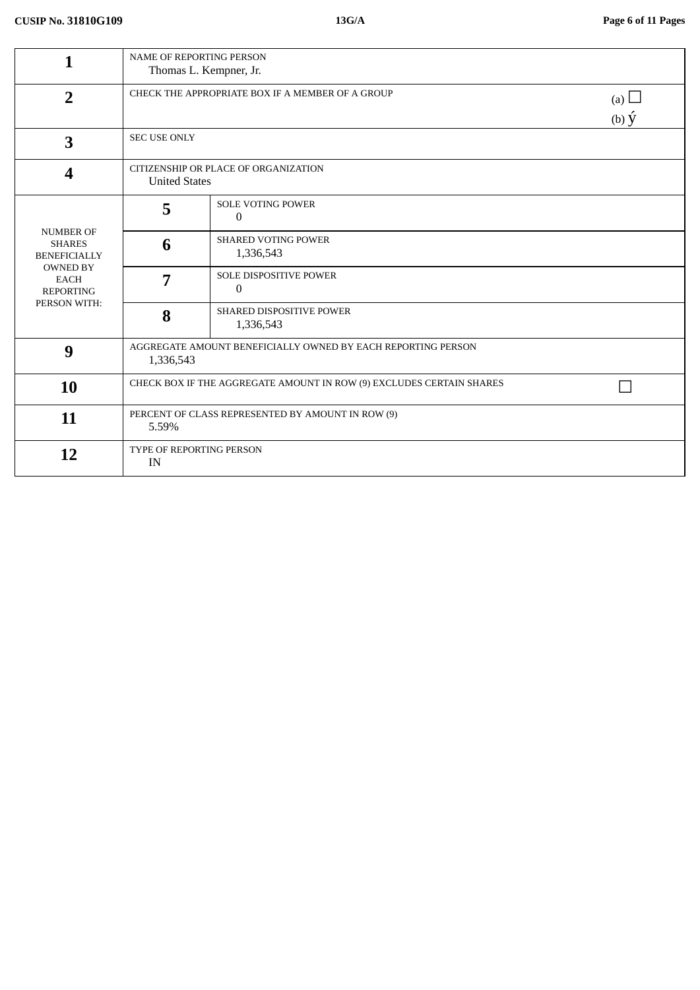| 1                                                                  | NAME OF REPORTING PERSON<br>Thomas L. Kempner, Jr.                                  |                                         |  |  |
|--------------------------------------------------------------------|-------------------------------------------------------------------------------------|-----------------------------------------|--|--|
| $\overline{2}$                                                     | CHECK THE APPROPRIATE BOX IF A MEMBER OF A GROUP<br>(a) $\Box$<br>$(b)$ $\acute{y}$ |                                         |  |  |
| 3                                                                  | <b>SEC USE ONLY</b>                                                                 |                                         |  |  |
| $\boldsymbol{4}$                                                   | CITIZENSHIP OR PLACE OF ORGANIZATION<br><b>United States</b>                        |                                         |  |  |
|                                                                    | 5                                                                                   | SOLE VOTING POWER<br>$\mathbf{0}$       |  |  |
| <b>NUMBER OF</b><br><b>SHARES</b><br><b>BENEFICIALLY</b>           | 6                                                                                   | <b>SHARED VOTING POWER</b><br>1,336,543 |  |  |
| <b>OWNED BY</b><br><b>EACH</b><br><b>REPORTING</b><br>PERSON WITH: | 7                                                                                   | <b>SOLE DISPOSITIVE POWER</b><br>0      |  |  |
|                                                                    | 8                                                                                   | SHARED DISPOSITIVE POWER<br>1,336,543   |  |  |
| 9                                                                  | AGGREGATE AMOUNT BENEFICIALLY OWNED BY EACH REPORTING PERSON<br>1,336,543           |                                         |  |  |
| 10                                                                 | CHECK BOX IF THE AGGREGATE AMOUNT IN ROW (9) EXCLUDES CERTAIN SHARES                |                                         |  |  |
| 11                                                                 | PERCENT OF CLASS REPRESENTED BY AMOUNT IN ROW (9)<br>5.59%                          |                                         |  |  |
| 12                                                                 | <b>TYPE OF REPORTING PERSON</b><br>IN                                               |                                         |  |  |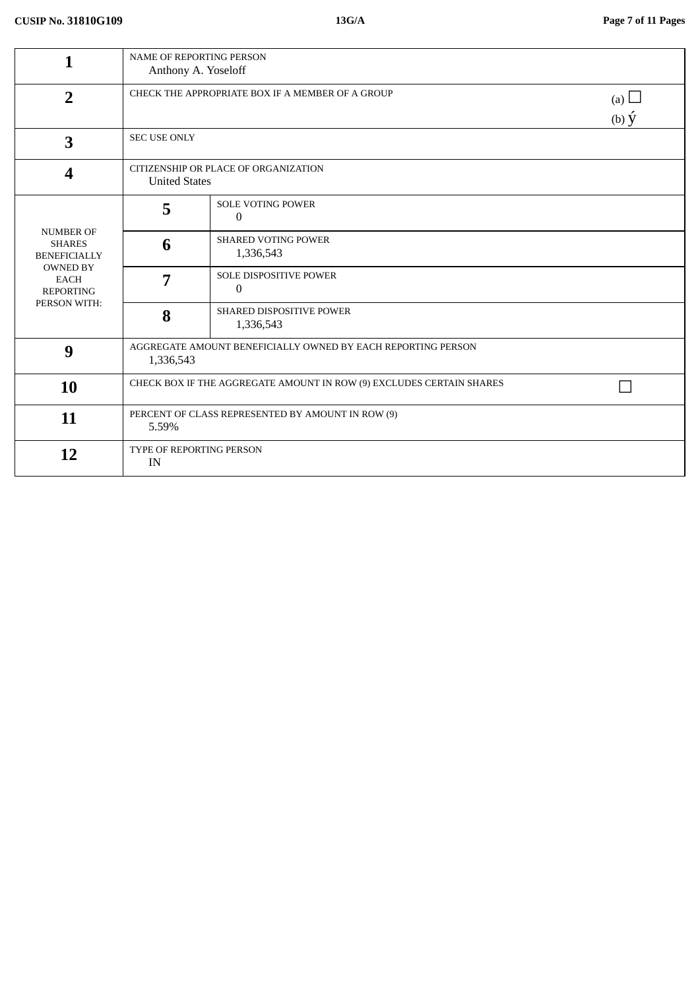| 1                                                                  | <b>NAME OF REPORTING PERSON</b><br>Anthony A. Yoseloff                    |                                            |                 |  |
|--------------------------------------------------------------------|---------------------------------------------------------------------------|--------------------------------------------|-----------------|--|
| $\overline{2}$                                                     | CHECK THE APPROPRIATE BOX IF A MEMBER OF A GROUP<br>(a) $\Box$            |                                            | $(b) \acute{y}$ |  |
| 3                                                                  | <b>SEC USE ONLY</b>                                                       |                                            |                 |  |
| 4                                                                  | CITIZENSHIP OR PLACE OF ORGANIZATION<br><b>United States</b>              |                                            |                 |  |
|                                                                    | 5                                                                         | <b>SOLE VOTING POWER</b><br>$\Omega$       |                 |  |
| <b>NUMBER OF</b><br><b>SHARES</b><br><b>BENEFICIALLY</b>           | 6                                                                         | <b>SHARED VOTING POWER</b><br>1,336,543    |                 |  |
| <b>OWNED BY</b><br><b>EACH</b><br><b>REPORTING</b><br>PERSON WITH: | 7                                                                         | SOLE DISPOSITIVE POWER<br>$\boldsymbol{0}$ |                 |  |
|                                                                    | 8                                                                         | SHARED DISPOSITIVE POWER<br>1,336,543      |                 |  |
| 9                                                                  | AGGREGATE AMOUNT BENEFICIALLY OWNED BY EACH REPORTING PERSON<br>1,336,543 |                                            |                 |  |
| 10                                                                 | CHECK BOX IF THE AGGREGATE AMOUNT IN ROW (9) EXCLUDES CERTAIN SHARES      |                                            |                 |  |
| 11                                                                 | PERCENT OF CLASS REPRESENTED BY AMOUNT IN ROW (9)<br>5.59%                |                                            |                 |  |
| 12                                                                 | <b>TYPE OF REPORTING PERSON</b><br>IN                                     |                                            |                 |  |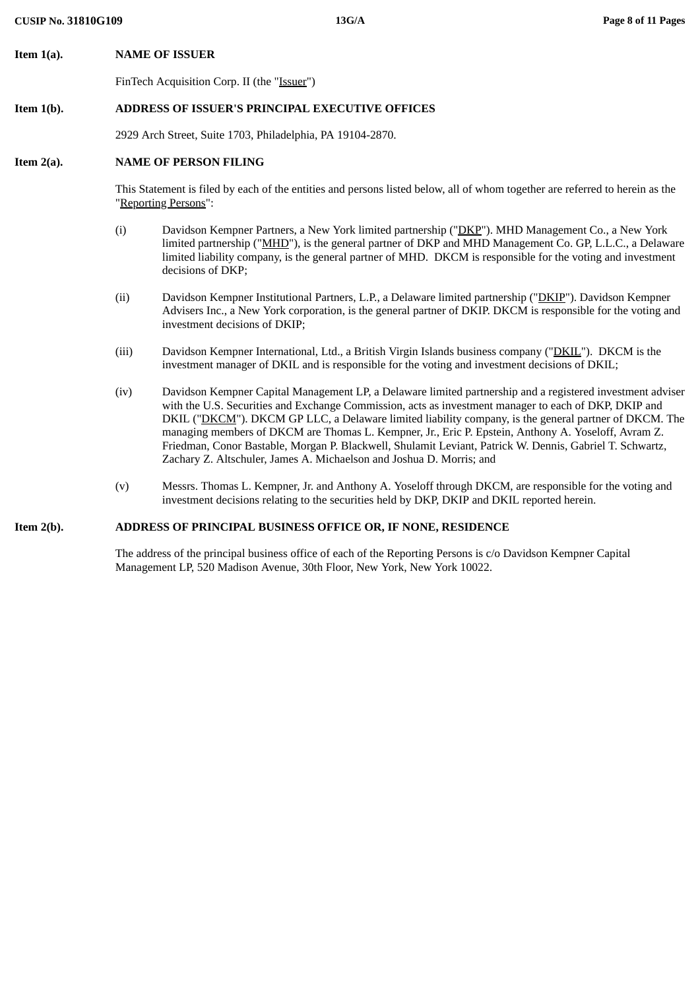**Item 1(a). NAME OF ISSUER**

FinTech Acquisition Corp. II (the "Issuer")

## **Item 1(b). ADDRESS OF ISSUER'S PRINCIPAL EXECUTIVE OFFICES**

2929 Arch Street, Suite 1703, Philadelphia, PA 19104-2870.

## **Item 2(a). NAME OF PERSON FILING**

This Statement is filed by each of the entities and persons listed below, all of whom together are referred to herein as the "Reporting Persons":

- (i) Davidson Kempner Partners, a New York limited partnership ("DKP"). MHD Management Co., a New York limited partnership ("MHD"), is the general partner of DKP and MHD Management Co. GP, L.L.C., a Delaware limited liability company, is the general partner of MHD. DKCM is responsible for the voting and investment decisions of DKP;
- (ii) Davidson Kempner Institutional Partners, L.P., a Delaware limited partnership ("DKIP"). Davidson Kempner Advisers Inc., a New York corporation, is the general partner of DKIP. DKCM is responsible for the voting and investment decisions of DKIP;
- (iii) Davidson Kempner International, Ltd., a British Virgin Islands business company ("DKIL"). DKCM is the investment manager of DKIL and is responsible for the voting and investment decisions of DKIL;
- (iv) Davidson Kempner Capital Management LP, a Delaware limited partnership and a registered investment adviser with the U.S. Securities and Exchange Commission, acts as investment manager to each of DKP, DKIP and DKIL ("DKCM"). DKCM GP LLC, a Delaware limited liability company, is the general partner of DKCM. The managing members of DKCM are Thomas L. Kempner, Jr., Eric P. Epstein, Anthony A. Yoseloff, Avram Z. Friedman, Conor Bastable, Morgan P. Blackwell, Shulamit Leviant, Patrick W. Dennis, Gabriel T. Schwartz, Zachary Z. Altschuler, James A. Michaelson and Joshua D. Morris; and
- (v) Messrs. Thomas L. Kempner, Jr. and Anthony A. Yoseloff through DKCM, are responsible for the voting and investment decisions relating to the securities held by DKP, DKIP and DKIL reported herein.

### **Item 2(b). ADDRESS OF PRINCIPAL BUSINESS OFFICE OR, IF NONE, RESIDENCE**

The address of the principal business office of each of the Reporting Persons is c/o Davidson Kempner Capital Management LP, 520 Madison Avenue, 30th Floor, New York, New York 10022.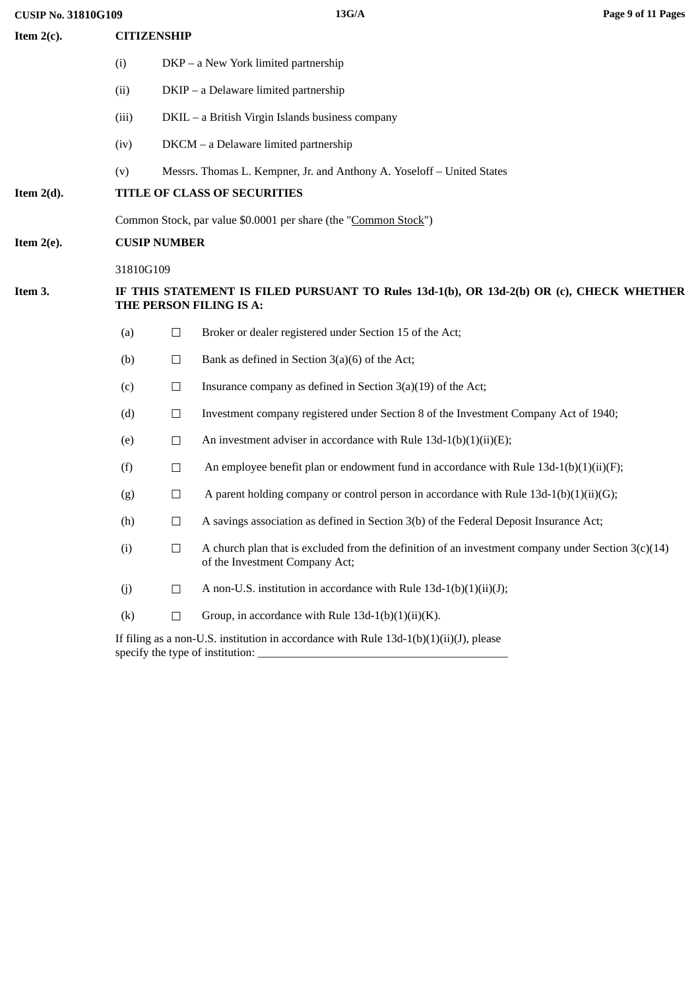**CUSIP No. 31810G109 13G/A Page 9 of 11 Pages**

| Item $2(c)$ . | <b>CITIZENSHIP</b>                                                                                                  |        |                                                                                                                                        |
|---------------|---------------------------------------------------------------------------------------------------------------------|--------|----------------------------------------------------------------------------------------------------------------------------------------|
|               | (i)                                                                                                                 |        | DKP – a New York limited partnership                                                                                                   |
|               | (ii)                                                                                                                |        | DKIP - a Delaware limited partnership                                                                                                  |
|               | (iii)                                                                                                               |        | DKIL - a British Virgin Islands business company                                                                                       |
|               | (iv)                                                                                                                |        | DKCM - a Delaware limited partnership                                                                                                  |
|               | (v)                                                                                                                 |        | Messrs. Thomas L. Kempner, Jr. and Anthony A. Yoseloff - United States                                                                 |
| Item $2(d)$ . |                                                                                                                     |        | TITLE OF CLASS OF SECURITIES                                                                                                           |
|               |                                                                                                                     |        | Common Stock, par value \$0.0001 per share (the "Common Stock")                                                                        |
| Item $2(e)$ . | <b>CUSIP NUMBER</b>                                                                                                 |        |                                                                                                                                        |
|               | 31810G109                                                                                                           |        |                                                                                                                                        |
| Item 3.       | IF THIS STATEMENT IS FILED PURSUANT TO Rules 13d-1(b), OR 13d-2(b) OR (c), CHECK WHETHER<br>THE PERSON FILING IS A: |        |                                                                                                                                        |
|               | (a)                                                                                                                 | $\Box$ | Broker or dealer registered under Section 15 of the Act;                                                                               |
|               | (b)                                                                                                                 | $\Box$ | Bank as defined in Section 3(a)(6) of the Act;                                                                                         |
|               | (c)                                                                                                                 | $\Box$ | Insurance company as defined in Section 3(a)(19) of the Act;                                                                           |
|               | (d)                                                                                                                 | $\Box$ | Investment company registered under Section 8 of the Investment Company Act of 1940;                                                   |
|               | (e)                                                                                                                 | $\Box$ | An investment adviser in accordance with Rule $13d-1(b)(1)(ii)(E)$ ;                                                                   |
|               | (f)                                                                                                                 | $\Box$ | An employee benefit plan or endowment fund in accordance with Rule $13d-1(b)(1)(ii)(F)$ ;                                              |
|               | (g)                                                                                                                 | $\Box$ | A parent holding company or control person in accordance with Rule $13d-1(b)(1)(ii)(G);$                                               |
|               | (h)                                                                                                                 | $\Box$ | A savings association as defined in Section 3(b) of the Federal Deposit Insurance Act;                                                 |
|               | (i)                                                                                                                 | $\Box$ | A church plan that is excluded from the definition of an investment company under Section $3(c)(14)$<br>of the Investment Company Act; |
|               | (j)                                                                                                                 | $\Box$ | A non-U.S. institution in accordance with Rule 13d-1(b)(1)(ii)(J);                                                                     |
|               | (k)                                                                                                                 | $\Box$ | Group, in accordance with Rule $13d-1(b)(1)(ii)(K)$ .                                                                                  |
|               |                                                                                                                     |        | If filing as a non-U.S. institution in accordance with Rule $13d-1(b)(1)(ii)(J)$ , please<br>specify the type of institution:          |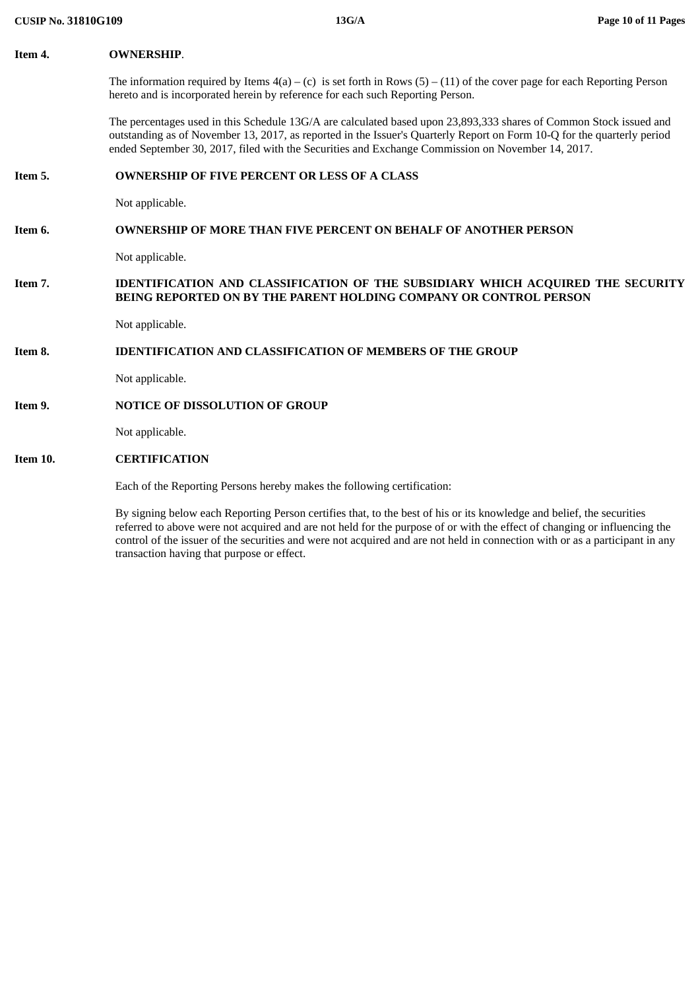#### **Item 4. OWNERSHIP**.

The information required by Items  $4(a) - (c)$  is set forth in Rows  $(5) - (11)$  of the cover page for each Reporting Person hereto and is incorporated herein by reference for each such Reporting Person.

The percentages used in this Schedule 13G/A are calculated based upon 23,893,333 shares of Common Stock issued and outstanding as of November 13, 2017, as reported in the Issuer's Quarterly Report on Form 10-Q for the quarterly period ended September 30, 2017, filed with the Securities and Exchange Commission on November 14, 2017.

### **Item 5. OWNERSHIP OF FIVE PERCENT OR LESS OF A CLASS**

Not applicable.

# **Item 6. OWNERSHIP OF MORE THAN FIVE PERCENT ON BEHALF OF ANOTHER PERSON**

Not applicable.

### **Item 7. IDENTIFICATION AND CLASSIFICATION OF THE SUBSIDIARY WHICH ACQUIRED THE SECURITY BEING REPORTED ON BY THE PARENT HOLDING COMPANY OR CONTROL PERSON**

Not applicable.

### **Item 8. IDENTIFICATION AND CLASSIFICATION OF MEMBERS OF THE GROUP**

Not applicable.

### **Item 9. NOTICE OF DISSOLUTION OF GROUP**

Not applicable.

#### **Item 10. CERTIFICATION**

Each of the Reporting Persons hereby makes the following certification:

By signing below each Reporting Person certifies that, to the best of his or its knowledge and belief, the securities referred to above were not acquired and are not held for the purpose of or with the effect of changing or influencing the control of the issuer of the securities and were not acquired and are not held in connection with or as a participant in any transaction having that purpose or effect.